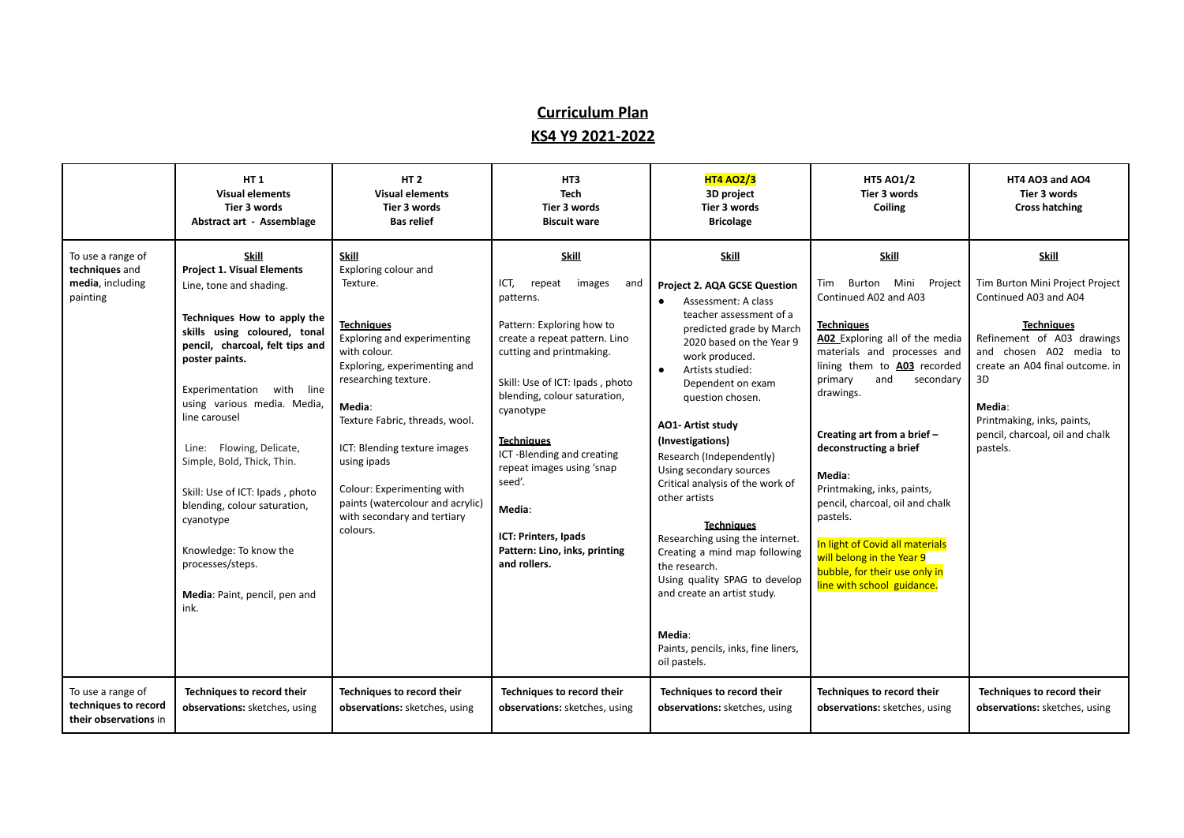## **Curriculum Plan KS4 Y9 2021-2022**

|                                                                     | <b>HT1</b><br><b>Visual elements</b><br>Tier 3 words<br><b>Abstract art - Assemblage</b>                                                                                                                                                                                                                                                                                                                                                                                                                       | HT <sub>2</sub><br><b>Visual elements</b><br>Tier 3 words<br><b>Bas relief</b>                                                                                                                                                                                                                                                                                                       | HT3<br><b>Tech</b><br>Tier 3 words<br><b>Biscuit ware</b>                                                                                                                                                                                                                                                                                                                                                          | <b>HT4 AO2/3</b><br>3D project<br><b>Tier 3 words</b><br><b>Bricolage</b>                                                                                                                                                                                                                                                                                                                                                                                                                                                                                                                                                                                      | <b>HT5 AO1/2</b><br>Tier 3 words<br>Coiling                                                                                                                                                                                                                                                                                                                                                                                                                                                                         | HT4 AO3 and AO4<br>Tier 3 words<br><b>Cross hatching</b>                                                                                                                                                                                                                               |
|---------------------------------------------------------------------|----------------------------------------------------------------------------------------------------------------------------------------------------------------------------------------------------------------------------------------------------------------------------------------------------------------------------------------------------------------------------------------------------------------------------------------------------------------------------------------------------------------|--------------------------------------------------------------------------------------------------------------------------------------------------------------------------------------------------------------------------------------------------------------------------------------------------------------------------------------------------------------------------------------|--------------------------------------------------------------------------------------------------------------------------------------------------------------------------------------------------------------------------------------------------------------------------------------------------------------------------------------------------------------------------------------------------------------------|----------------------------------------------------------------------------------------------------------------------------------------------------------------------------------------------------------------------------------------------------------------------------------------------------------------------------------------------------------------------------------------------------------------------------------------------------------------------------------------------------------------------------------------------------------------------------------------------------------------------------------------------------------------|---------------------------------------------------------------------------------------------------------------------------------------------------------------------------------------------------------------------------------------------------------------------------------------------------------------------------------------------------------------------------------------------------------------------------------------------------------------------------------------------------------------------|----------------------------------------------------------------------------------------------------------------------------------------------------------------------------------------------------------------------------------------------------------------------------------------|
| To use a range of<br>techniques and<br>media, including<br>painting | <b>Skill</b><br><b>Project 1. Visual Elements</b><br>Line, tone and shading.<br>Techniques How to apply the<br>skills using coloured, tonal<br>pencil, charcoal, felt tips and<br>poster paints.<br>Experimentation with line<br>using various media. Media,<br>line carousel<br>Line: Flowing, Delicate,<br>Simple, Bold, Thick, Thin.<br>Skill: Use of ICT: Ipads, photo<br>blending, colour saturation,<br>cyanotype<br>Knowledge: To know the<br>processes/steps.<br>Media: Paint, pencil, pen and<br>ink. | <b>Skill</b><br>Exploring colour and<br>Texture.<br><b>Techniques</b><br>Exploring and experimenting<br>with colour.<br>Exploring, experimenting and<br>researching texture.<br>Media:<br>Texture Fabric, threads, wool.<br>ICT: Blending texture images<br>using ipads<br>Colour: Experimenting with<br>paints (watercolour and acrylic)<br>with secondary and tertiary<br>colours. | <b>Skill</b><br>ICT,<br>repeat<br>images<br>and<br>patterns.<br>Pattern: Exploring how to<br>create a repeat pattern. Lino<br>cutting and printmaking.<br>Skill: Use of ICT: Ipads, photo<br>blending, colour saturation,<br>cyanotype<br><b>Techniques</b><br>ICT-Blending and creating<br>repeat images using 'snap<br>seed'.<br>Media:<br>ICT: Printers, Ipads<br>Pattern: Lino, inks, printing<br>and rollers. | <b>Skill</b><br>Project 2. AQA GCSE Question<br>Assessment: A class<br>$\bullet$<br>teacher assessment of a<br>predicted grade by March<br>2020 based on the Year 9<br>work produced.<br>Artists studied:<br>$\bullet$<br>Dependent on exam<br>question chosen.<br>AO1-Artist study<br>(Investigations)<br>Research (Independently)<br>Using secondary sources<br>Critical analysis of the work of<br>other artists<br><b>Techniques</b><br>Researching using the internet.<br>Creating a mind map following<br>the research.<br>Using quality SPAG to develop<br>and create an artist study.<br>Media:<br>Paints, pencils, inks, fine liners,<br>oil pastels. | <b>Skill</b><br>Burton Mini Project<br>Tim<br>Continued A02 and A03<br><b>Techniques</b><br>A02 Exploring all of the media<br>materials and processes and<br>lining them to A03 recorded<br>primary<br>and<br>secondary<br>drawings.<br>Creating art from a brief -<br>deconstructing a brief<br>Media:<br>Printmaking, inks, paints,<br>pencil, charcoal, oil and chalk<br>pastels.<br>In light of Covid all materials<br>will belong in the Year 9<br>bubble, for their use only in<br>line with school guidance. | <b>Skill</b><br>Tim Burton Mini Project Project<br>Continued A03 and A04<br><b>Techniques</b><br>Refinement of A03 drawings<br>and chosen A02 media to<br>create an A04 final outcome. in<br>3D<br>Media:<br>Printmaking, inks, paints,<br>pencil, charcoal, oil and chalk<br>pastels. |
| To use a range of<br>techniques to record<br>their observations in  | Techniques to record their<br>observations: sketches, using                                                                                                                                                                                                                                                                                                                                                                                                                                                    | Techniques to record their<br>observations: sketches, using                                                                                                                                                                                                                                                                                                                          | Techniques to record their<br>observations: sketches, using                                                                                                                                                                                                                                                                                                                                                        | Techniques to record their<br>observations: sketches, using                                                                                                                                                                                                                                                                                                                                                                                                                                                                                                                                                                                                    | Techniques to record their<br>observations: sketches, using                                                                                                                                                                                                                                                                                                                                                                                                                                                         | Techniques to record their<br>observations: sketches, using                                                                                                                                                                                                                            |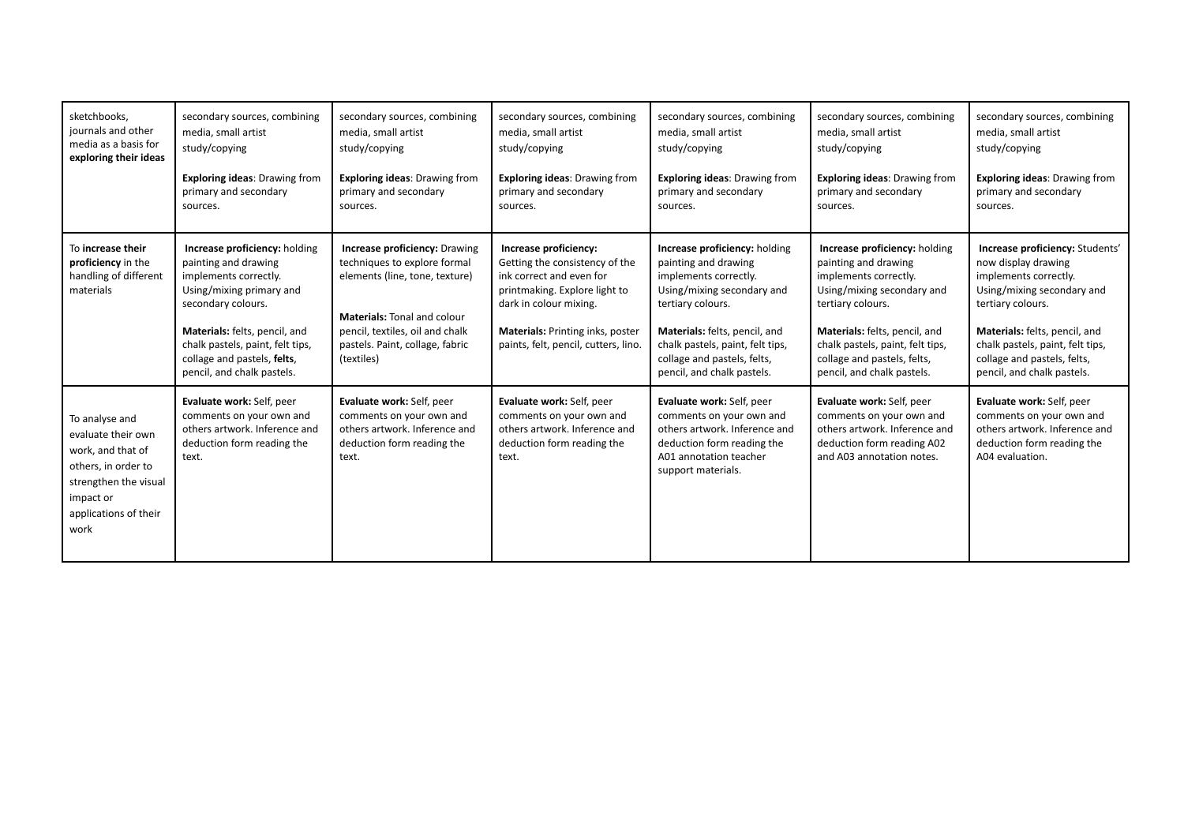| sketchbooks,<br>journals and other<br>media as a basis for<br>exploring their ideas                                                                     | secondary sources, combining<br>media, small artist<br>study/copying<br><b>Exploring ideas: Drawing from</b><br>primary and secondary<br>sources.                                                                                                                  | secondary sources, combining<br>media, small artist<br>study/copying<br><b>Exploring ideas: Drawing from</b><br>primary and secondary<br>sources.                                                                         | secondary sources, combining<br>media, small artist<br>study/copying<br><b>Exploring ideas: Drawing from</b><br>primary and secondary<br>sources.                                                                          | secondary sources, combining<br>media, small artist<br>study/copying<br><b>Exploring ideas: Drawing from</b><br>primary and secondary<br>sources.                                                                                                                   | secondary sources, combining<br>media, small artist<br>study/copying<br><b>Exploring ideas: Drawing from</b><br>primary and secondary<br>sources.                                                                                                                   | secondary sources, combining<br>media, small artist<br>study/copying<br><b>Exploring ideas: Drawing from</b><br>primary and secondary<br>sources.                                                                                                                    |
|---------------------------------------------------------------------------------------------------------------------------------------------------------|--------------------------------------------------------------------------------------------------------------------------------------------------------------------------------------------------------------------------------------------------------------------|---------------------------------------------------------------------------------------------------------------------------------------------------------------------------------------------------------------------------|----------------------------------------------------------------------------------------------------------------------------------------------------------------------------------------------------------------------------|---------------------------------------------------------------------------------------------------------------------------------------------------------------------------------------------------------------------------------------------------------------------|---------------------------------------------------------------------------------------------------------------------------------------------------------------------------------------------------------------------------------------------------------------------|----------------------------------------------------------------------------------------------------------------------------------------------------------------------------------------------------------------------------------------------------------------------|
| To increase their<br>proficiency in the<br>handling of different<br>materials                                                                           | Increase proficiency: holding<br>painting and drawing<br>implements correctly.<br>Using/mixing primary and<br>secondary colours.<br>Materials: felts, pencil, and<br>chalk pastels, paint, felt tips,<br>collage and pastels, felts,<br>pencil, and chalk pastels. | Increase proficiency: Drawing<br>techniques to explore formal<br>elements (line, tone, texture)<br><b>Materials: Tonal and colour</b><br>pencil, textiles, oil and chalk<br>pastels. Paint, collage, fabric<br>(textiles) | Increase proficiency:<br>Getting the consistency of the<br>ink correct and even for<br>printmaking. Explore light to<br>dark in colour mixing.<br>Materials: Printing inks, poster<br>paints, felt, pencil, cutters, lino. | Increase proficiency: holding<br>painting and drawing<br>implements correctly.<br>Using/mixing secondary and<br>tertiary colours.<br>Materials: felts, pencil, and<br>chalk pastels, paint, felt tips,<br>collage and pastels, felts,<br>pencil, and chalk pastels. | Increase proficiency: holding<br>painting and drawing<br>implements correctly.<br>Using/mixing secondary and<br>tertiary colours.<br>Materials: felts, pencil, and<br>chalk pastels, paint, felt tips,<br>collage and pastels, felts,<br>pencil, and chalk pastels. | Increase proficiency: Students'<br>now display drawing<br>implements correctly.<br>Using/mixing secondary and<br>tertiary colours.<br>Materials: felts, pencil, and<br>chalk pastels, paint, felt tips,<br>collage and pastels, felts,<br>pencil, and chalk pastels. |
| To analyse and<br>evaluate their own<br>work, and that of<br>others, in order to<br>strengthen the visual<br>impact or<br>applications of their<br>work | Evaluate work: Self, peer<br>comments on your own and<br>others artwork. Inference and<br>deduction form reading the<br>text.                                                                                                                                      | Evaluate work: Self, peer<br>comments on your own and<br>others artwork. Inference and<br>deduction form reading the<br>text.                                                                                             | Evaluate work: Self, peer<br>comments on your own and<br>others artwork. Inference and<br>deduction form reading the<br>text.                                                                                              | Evaluate work: Self, peer<br>comments on your own and<br>others artwork. Inference and<br>deduction form reading the<br>A01 annotation teacher<br>support materials.                                                                                                | Evaluate work: Self, peer<br>comments on your own and<br>others artwork. Inference and<br>deduction form reading A02<br>and A03 annotation notes.                                                                                                                   | Evaluate work: Self, peer<br>comments on your own and<br>others artwork. Inference and<br>deduction form reading the<br>A04 evaluation.                                                                                                                              |